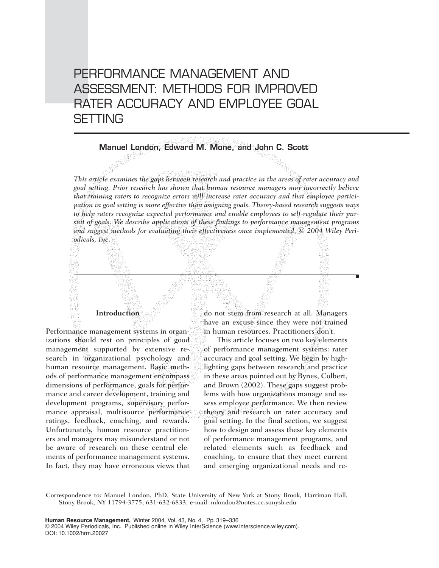# PERFORMANCE MANAGEMENT AND ASSESSMENT: METHODS FOR IMPROVED RATER ACCURACY AND EMPLOYEE GOAL **SETTING**

## **Manuel London, Edward M. Mone, and John C. Scott**

*This article examines the gaps between research and practice in the areas of rater accuracy and goal setting. Prior research has shown that human resource managers may incorrectly believe that training raters to recognize errors will increase rater accuracy and that employee participation in goal setting is more effective than assigning goals. Theory-based research suggests ways to help raters recognize expected performance and enable employees to self-regulate their pursuit of goals. We describe applications of these findings to performance management programs and suggest methods for evaluating their effectiveness once implemented. © 2004 Wiley Periodicals, Inc.*

#### **Introduction**

Performance management systems in organizations should rest on principles of good management supported by extensive research in organizational psychology and human resource management. Basic methods of performance management encompass dimensions of performance, goals for performance and career development, training and development programs, supervisory performance appraisal, multisource performance ratings, feedback, coaching, and rewards. Unfortunately, human resource practitioners and managers may misunderstand or not be aware of research on these central elements of performance management systems. In fact, they may have erroneous views that

do not stem from research at all. Managers have an excuse since they were not trained in human resources. Practitioners don't.

This article focuses on two key elements of performance management systems: rater accuracy and goal setting. We begin by highlighting gaps between research and practice in these areas pointed out by Rynes, Colbert, and Brown (2002). These gaps suggest problems with how organizations manage and assess employee performance. We then review theory and research on rater accuracy and goal setting. In the final section, we suggest how to design and assess these key elements of performance management programs, and related elements such as feedback and coaching, to ensure that they meet current and emerging organizational needs and re-

Correspondence to: Manuel London, PhD, State University of New York at Stony Brook, Harriman Hall, Stony Brook, NY 11794-3775, 631-632-6833, e-mail: mlondon@notes.cc.sunysb.edu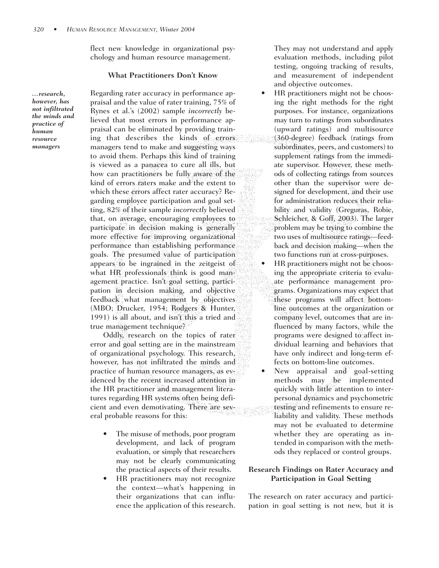flect new knowledge in organizational psychology and human resource management.

#### **What Practitioners Don't Know**

*…research, however, has not infiltrated the minds and practice of human resource managers*

Regarding rater accuracy in performance appraisal and the value of rater training, 75% of Rynes et al.'s (2002) sample *incorrectly* believed that most errors in performance appraisal can be eliminated by providing training that describes the kinds of errors managers tend to make and suggesting ways to avoid them. Perhaps this kind of training is viewed as a panacea to cure all ills, but how can practitioners be fully aware of the kind of errors raters make and the extent to which these errors affect rater accuracy? Regarding employee participation and goal setting, 82% of their sample *incorrectly* believed that, on average, encouraging employees to participate in decision making is generally more effective for improving organizational performance than establishing performance goals. The presumed value of participation appears to be ingrained in the zeitgeist of what HR professionals think is good management practice. Isn't goal setting, participation in decision making, and objective feedback what management by objectives (MBO; Drucker, 1954; Rodgers & Hunter, 1991) is all about, and isn't this a tried and true management technique?

Oddly, research on the topics of rater error and goal setting are in the mainstream of organizational psychology. This research, however, has not infiltrated the minds and practice of human resource managers, as evidenced by the recent increased attention in the HR practitioner and management literatures regarding HR systems often being deficient and even demotivating. There are several probable reasons for this:

- The misuse of methods, poor program development, and lack of program evaluation, or simply that researchers may not be clearly communicating the practical aspects of their results.
- HR practitioners may not recognize the context—what's happening in their organizations that can influence the application of this research.

They may not understand and apply evaluation methods, including pilot testing, ongoing tracking of results, and measurement of independent and objective outcomes.

- HR practitioners might not be choosing the right methods for the right purposes. For instance, organizations may turn to ratings from subordinates (upward ratings) and multisource (360-degree) feedback (ratings from subordinates, peers, and customers) to supplement ratings from the immediate supervisor. However, these methods of collecting ratings from sources other than the supervisor were designed for development, and their use for administration reduces their reliability and validity (Greguras, Robie, Schleicher, & Goff, 2003). The larger problem may be trying to combine the two uses of multisource ratings—feedback and decision making—when the two functions run at cross-purposes.
- HR practitioners might not be choosing the appropriate criteria to evaluate performance management programs. Organizations may expect that these programs will affect bottomline outcomes at the organization or company level, outcomes that are influenced by many factors, while the programs were designed to affect individual learning and behaviors that have only indirect and long-term effects on bottom-line outcomes.
- New appraisal and goal-setting methods may be implemented quickly with little attention to interpersonal dynamics and psychometric testing and refinements to ensure reliability and validity. These methods may not be evaluated to determine whether they are operating as intended in comparison with the methods they replaced or control groups.

#### **Research Findings on Rater Accuracy and Participation in Goal Setting**

The research on rater accuracy and participation in goal setting is not new, but it is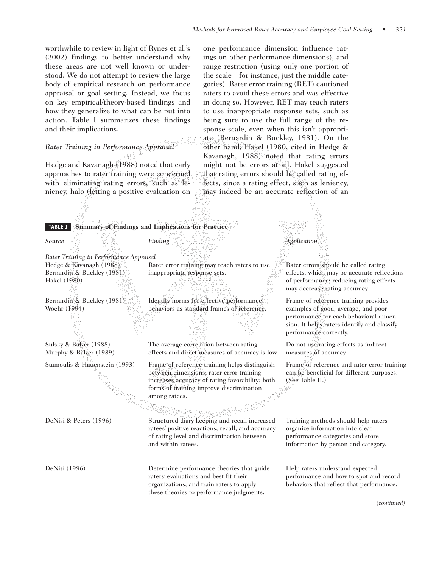worthwhile to review in light of Rynes et al.'s (2002) findings to better understand why these areas are not well known or understood. We do not attempt to review the large body of empirical research on performance appraisal or goal setting. Instead, we focus on key empirical/theory-based findings and how they generalize to what can be put into action. Table I summarizes these findings and their implications.

### *Rater Training in Performance Appraisal*

**TABLE I**

Hedge and Kavanagh (1988) noted that early approaches to rater training were concerned with eliminating rating errors, such as leniency, halo (letting a positive evaluation on

**Summary of Findings and Implications for Practice**

one performance dimension influence ratings on other performance dimensions), and range restriction (using only one portion of the scale—for instance, just the middle categories). Rater error training (RET) cautioned raters to avoid these errors and was effective in doing so. However, RET may teach raters to use inappropriate response sets, such as being sure to use the full range of the response scale, even when this isn't appropriate (Bernardin & Buckley, 1981). On the other hand, Hakel (1980, cited in Hedge & Kavanagh, 1988) noted that rating errors might not be errors at all. Hakel suggested that rating errors should be called rating effects, since a rating effect, such as leniency, may indeed be an accurate reflection of an

# *Rater Training in Performance Appraisal* Hedge & Kavanagh (1988) Rater error training may teach raters to use Rater errors should be called rating Bernardin & Buckley (1981) inappropriate response sets. Effects, which may be accurate reflections Hakel (1980) **of performance; reducing rating effects** of performance; reducing rating effects Bernardin & Buckley (1981) Identify norms for effective performance Frame-of-reference training provides Woehr (1994) behaviors as standard frames of reference. examples of good, average, and poor Sulsky & Balzer (1988) The average correlation between rating Do not use rating effects as indirect Murphy & Balzer (1989) effects and direct measures of accuracy is low. measures of accuracy. Stamoulis & Hauenstein (1993) Frame-of-reference training helps distinguish Frame-of-reference and rater error training between dimensions; rater error training can be beneficial for different purposes. increases accuracy of rating favorability; both (See Table II.) forms of training improve discrimination among ratees. DeNisi & Peters (1996) Structured diary keeping and recall increased Training methods should help raters ratees' positive reactions, recall, and accuracy organize information into clear<br>of rating level and discrimination between performance categories and store of rating level and discrimination between and within ratees.  $\qquad \qquad$  information by person and category. DeNisi (1996) Determine performance theories that guide Help raters understand expected

these theories to performance judgments.

**Source Source Application** Finding *Source Application* 

may decrease rating accuracy.

performance for each behavioral dimension. It helps raters identify and classify performance correctly.

raters' evaluations and best fit their performance and how to spot and record organizations, and train raters to apply behaviors that reflect that performance.

*(continued)*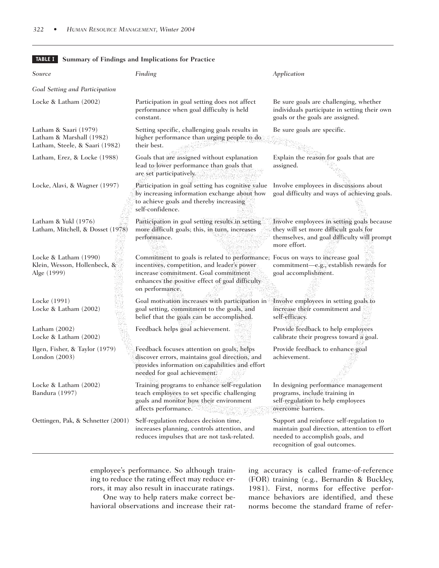| Source                                                                              | Finding                                                                                                                                                                                                                                    | Application                                                                                                                                                  |
|-------------------------------------------------------------------------------------|--------------------------------------------------------------------------------------------------------------------------------------------------------------------------------------------------------------------------------------------|--------------------------------------------------------------------------------------------------------------------------------------------------------------|
| Goal Setting and Participation                                                      |                                                                                                                                                                                                                                            |                                                                                                                                                              |
| Locke & Latham (2002)                                                               | Participation in goal setting does not affect<br>performance when goal difficulty is held<br>constant.                                                                                                                                     | Be sure goals are challenging, whether<br>individuals participate in setting their own<br>goals or the goals are assigned.                                   |
| Latham & Saari (1979)<br>Latham & Marshall (1982)<br>Latham, Steele, & Saari (1982) | Setting specific, challenging goals results in<br>higher performance than urging people to do<br>their best.                                                                                                                               | Be sure goals are specific.                                                                                                                                  |
| Latham, Erez, & Locke (1988)                                                        | Goals that are assigned without explanation<br>lead to lower performance than goals that<br>are set participatively.                                                                                                                       | Explain the reason for goals that are<br>assigned.                                                                                                           |
| Locke, Alavi, & Wagner (1997)                                                       | Participation in goal setting has cognitive value<br>by increasing information exchange about how<br>to achieve goals and thereby increasing<br>self-confidence.                                                                           | Involve employees in discussions about<br>goal difficulty and ways of achieving goals.                                                                       |
| Latham & Yukl (1976)<br>Latham, Mitchell, & Dosset (1978)                           | Participation in goal setting results in setting<br>more difficult goals; this, in turn, increases<br>performance.                                                                                                                         | Involve employees in setting goals because<br>they will set more difficult goals for<br>themselves, and goal difficulty will prompt<br>more effort.          |
| Locke & Latham (1990)<br>Klein, Wesson, Hollenbeck, &<br>Alge (1999)                | Commitment to goals is related to performance; Focus on ways to increase goal<br>incentives, competition, and leader's power<br>increase commitment. Goal commitment<br>enhances the positive effect of goal difficulty<br>on performance. | commitment-e.g., establish rewards for<br>goal accomplishment.                                                                                               |
| Locke (1991)<br>Locke & Latham (2002)                                               | Goal motivation increases with participation in Involve employees in setting goals to<br>goal setting, commitment to the goals, and<br>belief that the goals can be accomplished.                                                          | increase their commitment and<br>self-efficacy.                                                                                                              |
| Latham $(2002)$<br>Locke & Latham (2002)                                            | Feedback helps goal achievement.                                                                                                                                                                                                           | Provide feedback to help employees<br>calibrate their progress toward a goal.                                                                                |
| Ilgen, Fisher, & Taylor (1979)<br>London $(2003)$                                   | Feedback focuses attention on goals, helps<br>discover errors, maintains goal direction, and<br>provides information on capabilities and effort<br>needed for goal achievement.                                                            | Provide feedback to enhance goal<br>achievement.                                                                                                             |
| Locke & Latham (2002)<br>Bandura (1997)                                             | Training programs to enhance self-regulation<br>teach employees to set specific challenging<br>goals and monitor how their environment<br>affects performance.                                                                             | In designing performance management<br>programs, include training in<br>self-regulation to help employees<br>overcome barriers.                              |
| Oettingen, Pak, & Schnetter (2001)                                                  | Self-regulation reduces decision time,<br>increases planning, controls attention, and<br>reduces impulses that are not task-related.                                                                                                       | Support and reinforce self-regulation to<br>maintain goal direction, attention to effort<br>needed to accomplish goals, and<br>recognition of goal outcomes. |

#### **Summary of Findings and Implications for Practice TABLE I**

employee's performance. So although training to reduce the rating effect may reduce errors, it may also result in inaccurate ratings.

One way to help raters make correct behavioral observations and increase their rating accuracy is called frame-of-reference (FOR) training (e.g., Bernardin & Buckley, 1981). First, norms for effective performance behaviors are identified, and these norms become the standard frame of refer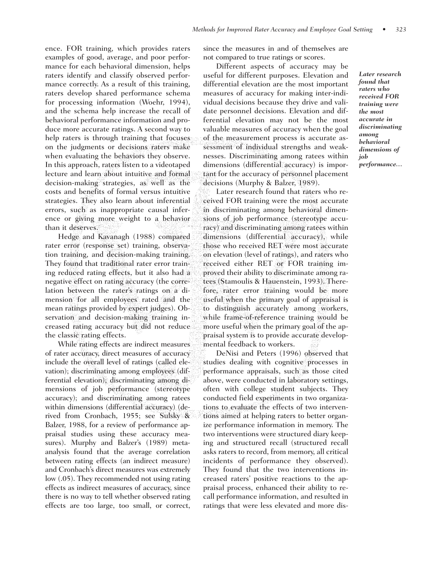ence. FOR training, which provides raters examples of good, average, and poor performance for each behavioral dimension, helps raters identify and classify observed performance correctly. As a result of this training, raters develop shared performance schema for processing information (Woehr, 1994), and the schema help increase the recall of behavioral performance information and produce more accurate ratings. A second way to help raters is through training that focuses on the judgments or decisions raters make when evaluating the behaviors they observe. In this approach, raters listen to a videotaped lecture and learn about intuitive and formal decision-making strategies, as well as the costs and benefits of formal versus intuitive strategies. They also learn about inferential errors, such as inappropriate causal inference or giving more weight to a behavior than it deserves.

Hedge and Kavanagh (1988) compared rater error (response set) training, observation training, and decision-making training. They found that traditional rater error training reduced rating effects, but it also had a negative effect on rating accuracy (the correlation between the rater's ratings on a dimension for all employees rated and the mean ratings provided by expert judges). Observation and decision-making training increased rating accuracy but did not reduce the classic rating effects.

While rating effects are indirect measures of rater accuracy, direct measures of accuracy include the overall level of ratings (called elevation); discriminating among employees (differential elevation); discriminating among dimensions of job performance (stereotype accuracy); and discriminating among ratees within dimensions (differential accuracy) (derived from Cronbach, 1955; see Sulsky & Balzer, 1988, for a review of performance appraisal studies using these accuracy measures). Murphy and Balzer's (1989) metaanalysis found that the average correlation between rating effects (an indirect measure) and Cronbach's direct measures was extremely low (.05). They recommended not using rating effects as indirect measures of accuracy, since there is no way to tell whether observed rating effects are too large, too small, or correct,

since the measures in and of themselves are not compared to true ratings or scores.

Different aspects of accuracy may be useful for different purposes. Elevation and differential elevation are the most important measures of accuracy for making inter-individual decisions because they drive and validate personnel decisions. Elevation and differential elevation may not be the most valuable measures of accuracy when the goal of the measurement process is accurate assessment of individual strengths and weaknesses. Discriminating among ratees within dimensions (differential accuracy) is important for the accuracy of personnel placement decisions (Murphy & Balzer, 1989).

Later research found that raters who received FOR training were the most accurate in discriminating among behavioral dimensions of job performance (stereotype accuracy) and discriminating among ratees within dimensions (differential accuracy), while those who received RET were most accurate on elevation (level of ratings), and raters who received either RET or FOR training improved their ability to discriminate among ratees (Stamoulis & Hauenstein, 1993). Therefore, rater error training would be more useful when the primary goal of appraisal is to distinguish accurately among workers, while frame-of-reference training would be more useful when the primary goal of the appraisal system is to provide accurate developmental feedback to workers.

DeNisi and Peters (1996) observed that studies dealing with cognitive processes in performance appraisals, such as those cited above, were conducted in laboratory settings, often with college student subjects. They conducted field experiments in two organizations to evaluate the effects of two interventions aimed at helping raters to better organize performance information in memory. The two interventions were structured diary keeping and structured recall (structured recall asks raters to record, from memory, all critical incidents of performance they observed). They found that the two interventions increased raters' positive reactions to the appraisal process, enhanced their ability to recall performance information, and resulted in ratings that were less elevated and more dis-

*Later research found that raters who received FOR training were the most accurate in discriminating among behavioral dimensions of job performance…*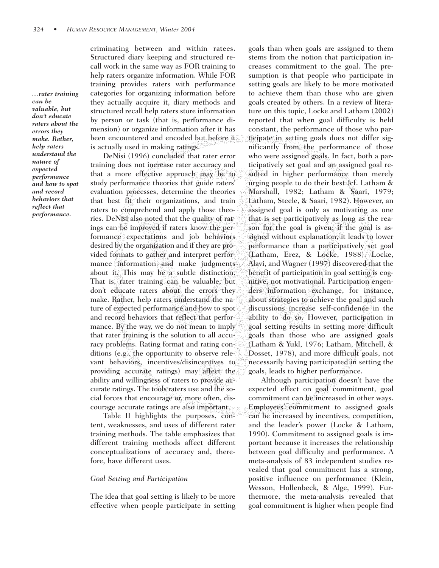*…rater training can be valuable, but don't educate raters about the errors they make. Rather, help raters understand the nature of expected performance and how to spot and record behaviors that reflect that performance.*

criminating between and within ratees. Structured diary keeping and structured recall work in the same way as FOR training to help raters organize information. While FOR training provides raters with performance categories for organizing information before they actually acquire it, diary methods and structured recall help raters store information by person or task (that is, performance dimension) or organize information after it has been encountered and encoded but before it is actually used in making ratings.

DeNisi (1996) concluded that rater error training does not increase rater accuracy and that a more effective approach may be to study performance theories that guide raters' evaluation processes, determine the theories that best fit their organizations, and train raters to comprehend and apply those theories. DeNisi also noted that the quality of ratings can be improved if raters know the performance expectations and job behaviors desired by the organization and if they are provided formats to gather and interpret performance information and make judgments about it. This may be a subtle distinction. That is, rater training can be valuable, but don't educate raters about the errors they make. Rather, help raters understand the nature of expected performance and how to spot and record behaviors that reflect that performance. By the way, we do not mean to imply that rater training is the solution to all accuracy problems. Rating format and rating conditions (e.g., the opportunity to observe relevant behaviors, incentives/disincentives to providing accurate ratings) may affect the ability and willingness of raters to provide accurate ratings. The tools raters use and the social forces that encourage or, more often, discourage accurate ratings are also important.

Table II highlights the purposes, content, weaknesses, and uses of different rater training methods. The table emphasizes that different training methods affect different conceptualizations of accuracy and, therefore, have different uses.

#### *Goal Setting and Participation*

The idea that goal setting is likely to be more effective when people participate in setting goals than when goals are assigned to them stems from the notion that participation increases commitment to the goal. The presumption is that people who participate in setting goals are likely to be more motivated to achieve them than those who are given goals created by others. In a review of literature on this topic, Locke and Latham (2002) reported that when goal difficulty is held constant, the performance of those who participate in setting goals does not differ significantly from the performance of those who were assigned goals. In fact, both a participatively set goal and an assigned goal resulted in higher performance than merely urging people to do their best (cf. Latham & Marshall, 1982; Latham & Saari, 1979; Latham, Steele, & Saari, 1982). However, an assigned goal is only as motivating as one that is set participatively as long as the reason for the goal is given; if the goal is assigned without explanation, it leads to lower performance than a participatively set goal (Latham, Erez, & Locke, 1988). Locke, Alavi, and Wagner (1997) discovered that the benefit of participation in goal setting is cognitive, not motivational. Participation engenders information exchange, for instance, about strategies to achieve the goal and such discussions increase self-confidence in the ability to do so. However, participation in goal setting results in setting more difficult goals than those who are assigned goals (Latham & Yukl, 1976; Latham, Mitchell, & Dosset, 1978), and more difficult goals, not necessarily having participated in setting the goals, leads to higher performance.

Although participation doesn't have the expected effect on goal commitment, goal commitment can be increased in other ways. Employees' commitment to assigned goals can be increased by incentives, competition, and the leader's power (Locke & Latham, 1990). Commitment to assigned goals is important because it increases the relationship between goal difficulty and performance. A meta-analysis of 83 independent studies revealed that goal commitment has a strong, positive influence on performance (Klein, Wesson, Hollenbeck, & Alge, 1999). Furthermore, the meta-analysis revealed that goal commitment is higher when people find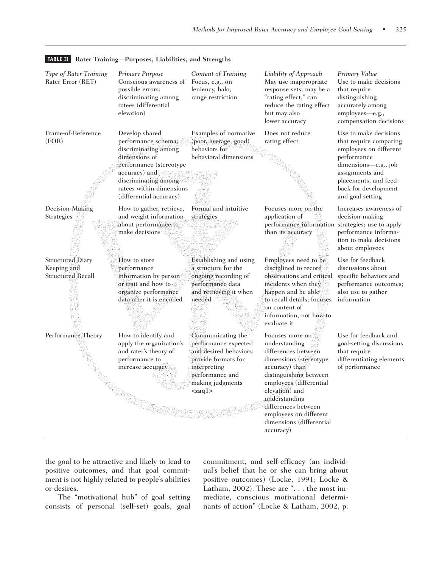| Type of Rater Training<br>Rater Error (RET)                        | Primary Purpose<br>Conscious awareness of<br>possible errors;<br>discriminating among<br>ratees (differential<br>elevation)                                                                               | Content of Training<br>Focus, e.g., on<br>leniency, halo,<br>range restriction                                                                                   | Liability of Approach<br>May use inappropriate<br>response sets, may be a<br>"rating effect," can<br>reduce the rating effect<br>but may also<br>lower accuracy                                                                                                                       | Primary Value<br>Use to make decisions<br>that require<br>distinguishing<br>accurately among<br>employees—e.g.,<br>compensation decisions                                                                |
|--------------------------------------------------------------------|-----------------------------------------------------------------------------------------------------------------------------------------------------------------------------------------------------------|------------------------------------------------------------------------------------------------------------------------------------------------------------------|---------------------------------------------------------------------------------------------------------------------------------------------------------------------------------------------------------------------------------------------------------------------------------------|----------------------------------------------------------------------------------------------------------------------------------------------------------------------------------------------------------|
| Frame-of-Reference<br>(FOR)                                        | Develop shared<br>performance schema;<br>discriminating among<br>dimensions of<br>performance (stereotype<br>accuracy) and<br>discriminating among<br>ratees within dimensions<br>(differential accuracy) | Examples of normative<br>(poor, average, good)<br>behaviors for<br>behavioral dimensions                                                                         | Does not reduce<br>rating effect                                                                                                                                                                                                                                                      | Use to make decisions<br>that require comparing<br>employees on different<br>performance<br>dimensions-e.g., job<br>assignments and<br>placements, and feed-<br>back for development<br>and goal setting |
| Decision-Making<br>Strategies                                      | How to gather, retrieve,<br>and weight information<br>about performance to<br>make decisions                                                                                                              | Formal and intuitive<br>strategies                                                                                                                               | Focuses more on the<br>application of<br>performance information<br>than its accuracy                                                                                                                                                                                                 | Increases awareness of<br>decision-making<br>strategies; use to apply<br>performance informa-<br>tion to make decisions<br>about employees                                                               |
| <b>Structured Diary</b><br>Keeping and<br><b>Structured Recall</b> | How to store<br>performance<br>information by person<br>or trait and how to<br>organize performance<br>data after it is encoded                                                                           | Establishing and using<br>a structure for the<br>ongoing recording of<br>performance data<br>and retrieving it when<br>needed                                    | Employees need to be<br>disciplined to record<br>observations and critical<br>incidents when they<br>happen and be able<br>to recall details; focuses<br>on content of<br>information, not how to<br>evaluate it                                                                      | Use for feedback<br>discussions about<br>specific behaviors and<br>performance outcomes;<br>also use to gather<br>information                                                                            |
| Performance Theory                                                 | How to identify and<br>apply the organization's<br>and rater's theory of<br>performance to<br>increase accuracy                                                                                           | Communicating the<br>performance expected<br>and desired behaviors;<br>provide formats for<br>interpreting<br>performance and<br>making judgments<br>$<$ zaq $l$ | Focuses more on<br>understanding<br>differences between<br>dimensions (stereotype<br>accuracy) than<br>distinguishing between<br>employees (differential<br>elevation) and<br>understanding<br>differences between<br>employees on different<br>dimensions (differential<br>accuracy) | Use for feedback and<br>goal-setting discussions<br>that require<br>differentiating elements<br>of performance                                                                                           |

#### **Rater Training—Purposes, Liabilities, and Strengths TABLE II**

the goal to be attractive and likely to lead to positive outcomes, and that goal commitment is not highly related to people's abilities or desires.

The "motivational hub" of goal setting consists of personal (self-set) goals, goal commitment, and self-efficacy (an individual's belief that he or she can bring about positive outcomes) (Locke, 1991; Locke & Latham, 2002). These are ". . . the most immediate, conscious motivational determinants of action" (Locke & Latham, 2002, p.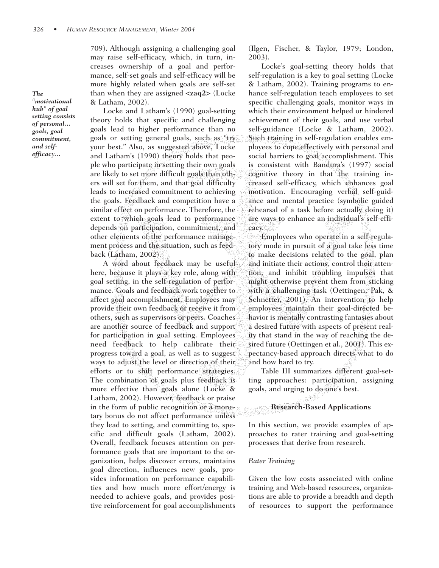709). Although assigning a challenging goal may raise self-efficacy, which, in turn, increases ownership of a goal and performance, self-set goals and self-efficacy will be more highly related when goals are self-set than when they are assigned **<zaq2>** (Locke & Latham, 2002).

Locke and Latham's (1990) goal-setting theory holds that specific and challenging goals lead to higher performance than no goals or setting general goals, such as "try your best." Also, as suggested above, Locke and Latham's (1990) theory holds that people who participate in setting their own goals are likely to set more difficult goals than others will set for them, and that goal difficulty leads to increased commitment to achieving the goals. Feedback and competition have a similar effect on performance. Therefore, the extent to which goals lead to performance depends on participation, commitment, and other elements of the performance management process and the situation, such as feedback (Latham, 2002).

A word about feedback may be useful here, because it plays a key role, along with goal setting, in the self-regulation of performance. Goals and feedback work together to affect goal accomplishment. Employees may provide their own feedback or receive it from others, such as supervisors or peers. Coaches are another source of feedback and support for participation in goal setting. Employees need feedback to help calibrate their progress toward a goal, as well as to suggest ways to adjust the level or direction of their efforts or to shift performance strategies. The combination of goals plus feedback is more effective than goals alone (Locke & Latham, 2002). However, feedback or praise in the form of public recognition or a monetary bonus do not affect performance unless they lead to setting, and committing to, specific and difficult goals (Latham, 2002). Overall, feedback focuses attention on performance goals that are important to the organization, helps discover errors, maintains goal direction, influences new goals, provides information on performance capabilities and how much more effort/energy is needed to achieve goals, and provides positive reinforcement for goal accomplishments

(Ilgen, Fischer, & Taylor, 1979; London, 2003).

Locke's goal-setting theory holds that self-regulation is a key to goal setting (Locke & Latham, 2002). Training programs to enhance self-regulation teach employees to set specific challenging goals, monitor ways in which their environment helped or hindered achievement of their goals, and use verbal self-guidance (Locke & Latham, 2002). Such training in self-regulation enables employees to cope effectively with personal and social barriers to goal accomplishment. This is consistent with Bandura's (1997) social cognitive theory in that the training increased self-efficacy, which enhances goal motivation. Encouraging verbal self-guidance and mental practice (symbolic guided rehearsal of a task before actually doing it) are ways to enhance an individual's self-efficacy.

Employees who operate in a self-regulatory mode in pursuit of a goal take less time to make decisions related to the goal, plan and initiate their actions, control their attention, and inhibit troubling impulses that might otherwise prevent them from sticking with a challenging task (Oettingen, Pak, & Schnetter, 2001). An intervention to help employees maintain their goal-directed behavior is mentally contrasting fantasies about a desired future with aspects of present reality that stand in the way of reaching the desired future (Oettingen et al., 2001). This expectancy-based approach directs what to do and how hard to try.

Table III summarizes different goal-setting approaches: participation, assigning goals, and urging to do one's best.

#### **Research-Based Applications**

In this section, we provide examples of approaches to rater training and goal-setting processes that derive from research.

#### *Rater Training*

Given the low costs associated with online training and Web-based resources, organizations are able to provide a breadth and depth of resources to support the performance

*The "motivational hub" of goal setting consists of personal… goals, goal commitment, and selfefficacy…*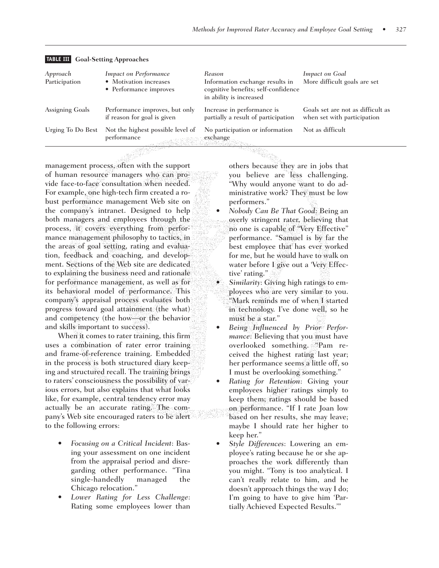| Approach<br>Participation | <b>Impact on Performance</b><br>• Motivation increases<br>• Performance improves | Reason<br>Information exchange results in<br>cognitive benefits; self-confidence<br>in ability is increased | Impact on Goal<br>More difficult goals are set                   |
|---------------------------|----------------------------------------------------------------------------------|-------------------------------------------------------------------------------------------------------------|------------------------------------------------------------------|
| Assigning Goals           | Performance improves, but only<br>if reason for goal is given                    | Increase in performance is<br>partially a result of participation                                           | Goals set are not as difficult as<br>when set with participation |
| Urging To Do Best         | Not the highest possible level of<br>performance                                 | No participation or information<br>exchange<br>101244244444450                                              | Not as difficult                                                 |
|                           |                                                                                  |                                                                                                             |                                                                  |

#### **Goal-Setting Approaches TABLE III**

management process, often with the support of human resource managers who can provide face-to-face consultation when needed. For example, one high-tech firm created a robust performance management Web site on the company's intranet. Designed to help both managers and employees through the process, it covers everything from performance management philosophy to tactics, in the areas of goal setting, rating and evaluation, feedback and coaching, and development. Sections of the Web site are dedicated to explaining the business need and rationale for performance management, as well as for its behavioral model of performance. This company's appraisal process evaluates both progress toward goal attainment (the what) and competency (the how—or the behavior and skills important to success).

When it comes to rater training, this firm uses a combination of rater error training and frame-of-reference training. Embedded in the process is both structured diary keeping and structured recall. The training brings to raters' consciousness the possibility of various errors, but also explains that what looks like, for example, central tendency error may actually be an accurate rating. The company's Web site encouraged raters to be alert to the following errors:

- *Focusing on a Critical Incident*: Basing your assessment on one incident from the appraisal period and disregarding other performance. "Tina single-handedly managed the Chicago relocation."
- *Lower Rating for Less Challenge*: Rating some employees lower than

others because they are in jobs that you believe are less challenging. "Why would anyone want to do administrative work? They must be low performers."

- *Nobody Can Be That Good*: Being an overly stringent rater, believing that no one is capable of "Very Effective" performance. "Samuel is by far the best employee that has ever worked for me, but he would have to walk on water before I give out a 'Very Effective' rating."
- *Similarity*: Giving high ratings to employees who are very similar to you. "Mark reminds me of when I started in technology. I've done well, so he must be a star."
- *Being Influenced by Prior Performance*: Believing that you must have overlooked something. "Pam received the highest rating last year; her performance seems a little off, so I must be overlooking something."
- *Rating for Retention*: Giving your employees higher ratings simply to keep them; ratings should be based on performance. "If I rate Joan low based on her results, she may leave; maybe I should rate her higher to keep her."
- *Style Differences*: Lowering an employee's rating because he or she approaches the work differently than you might. "Tony is too analytical. I can't really relate to him, and he doesn't approach things the way I do; I'm going to have to give him 'Partially Achieved Expected Results.'"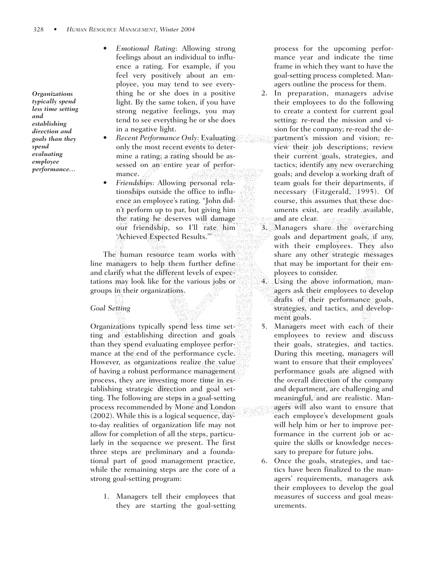*Organizations typically spend less time setting and establishing direction and goals than they spend evaluating employee performance…*

- *Emotional Rating*: Allowing strong feelings about an individual to influence a rating. For example, if you feel very positively about an employee, you may tend to see everything he or she does in a positive light. By the same token, if you have strong negative feelings, you may tend to see everything he or she does in a negative light.
- *Recent Performance Only*: Evaluating only the most recent events to determine a rating; a rating should be assessed on an entire year of performance.
- *Friendships*: Allowing personal relationships outside the office to influence an employee's rating. "John didn't perform up to par, but giving him the rating he deserves will damage our friendship, so I'll rate him 'Achieved Expected Results.'"

The human resource team works with line managers to help them further define and clarify what the different levels of expectations may look like for the various jobs or groups in their organizations.

#### *Goal Setting*

Organizations typically spend less time setting and establishing direction and goals than they spend evaluating employee performance at the end of the performance cycle. However, as organizations realize the value of having a robust performance management process, they are investing more time in establishing strategic direction and goal setting. The following are steps in a goal-setting process recommended by Mone and London (2002). While this is a logical sequence, dayto-day realities of organization life may not allow for completion of all the steps, particularly in the sequence we present. The first three steps are preliminary and a foundational part of good management practice, while the remaining steps are the core of a strong goal-setting program:

1. Managers tell their employees that they are starting the goal-setting

process for the upcoming performance year and indicate the time frame in which they want to have the goal-setting process completed. Managers outline the process for them.

- 2. In preparation, managers advise their employees to do the following to create a context for current goal setting: re-read the mission and vision for the company; re-read the de-
- partment's mission and vision; review their job descriptions; review their current goals, strategies, and tactics; identify any new overarching goals; and develop a working draft of team goals for their departments, if necessary (Fitzgerald, 1995). Of course, this assumes that these documents exist, are readily available, and are clear.
- 3. Managers share the overarching goals and department goals, if any, with their employees. They also share any other strategic messages that may be important for their employees to consider.
- 4. Using the above information, managers ask their employees to develop drafts of their performance goals, strategies, and tactics, and development goals.
- 5. Managers meet with each of their employees to review and discuss their goals, strategies, and tactics. During this meeting, managers will want to ensure that their employees' performance goals are aligned with the overall direction of the company and department, are challenging and meaningful, and are realistic. Managers will also want to ensure that each employee's development goals will help him or her to improve performance in the current job or acquire the skills or knowledge necessary to prepare for future jobs.
- 6. Once the goals, strategies, and tactics have been finalized to the managers' requirements, managers ask their employees to develop the goal measures of success and goal measurements.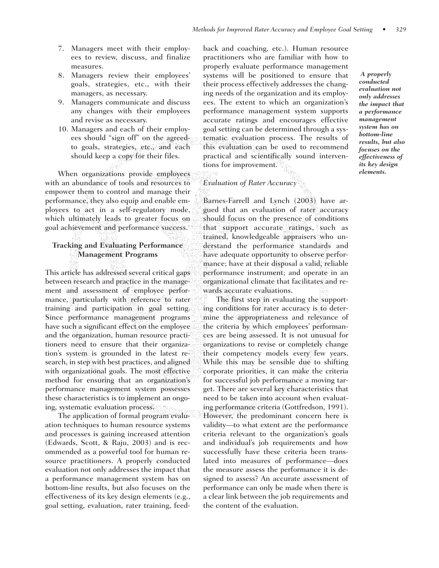- 7. Managers meet with their employees to review, discuss, and finalize measures.
- 8. Managers review their employees' goals, strategies, etc., with their managers, as necessary.
- 9. Managers communicate and discuss any changes with their employees and revise as necessary.
- 10. Managers and each of their employees should "sign off" on the agreedto goals, strategies, etc., and each should keep a copy for their files.

When organizations provide employees with an abundance of tools and resources to empower them to control and manage their performance, they also equip and enable employees to act in a self-regulatory mode, which ultimately leads to greater focus on goal achievement and performance success.

#### **Tracking and Evaluating Performance Management Programs**

This article has addressed several critical gaps between research and practice in the management and assessment of employee performance, particularly with reference to rater training and participation in goal setting. Since performance management programs have such a significant effect on the employee and the organization, human resource practitioners need to ensure that their organization's system is grounded in the latest research, in step with best practices, and aligned with organizational goals. The most effective method for ensuring that an organization's performance management system possesses these characteristics is to implement an ongoing, systematic evaluation process.

The application of formal program evaluation techniques to human resource systems and processes is gaining increased attention (Edwards, Scott, & Raju, 2003) and is recommended as a powerful tool for human resource practitioners. A properly conducted evaluation not only addresses the impact that a performance management system has on bottom-line results, but also focuses on the effectiveness of its key design elements (e.g., goal setting, evaluation, rater training, feed-

back and coaching, etc.). Human resource practitioners who are familiar with how to properly evaluate performance management systems will be positioned to ensure that their process effectively addresses the changing needs of the organization and its employees. The extent to which an organization's performance management system supports accurate ratings and encourages effective goal setting can be determined through a systematic evaluation process. The results of this evaluation can be used to recommend practical and scientifically sound interventions for improvement.

*Evaluation of Rater Accuracy*

Barnes-Farrell and Lynch (2003) have argued that an evaluation of rater accuracy should focus on the presence of conditions that support accurate ratings, such as trained, knowledgeable appraisers who understand the performance standards and have adequate opportunity to observe performance; have at their disposal a valid, reliable performance instrument; and operate in an organizational climate that facilitates and rewards accurate evaluations.

The first step in evaluating the supporting conditions for rater accuracy is to determine the appropriateness and relevance of the criteria by which employees' performances are being assessed. It is not unusual for organizations to revise or completely change their competency models every few years. While this may be sensible due to shifting corporate priorities, it can make the criteria for successful job performance a moving target. There are several key characteristics that need to be taken into account when evaluating performance criteria (Gottfredson, 1991). However, the predominant concern here is validity—to what extent are the performance criteria relevant to the organization's goals and individual's job requirements and how successfully have these criteria been translated into measures of performance—does the measure assess the performance it is designed to assess? An accurate assessment of performance can only be made when there is a clear link between the job requirements and the content of the evaluation.

*A properly conducted evaluation not only addresses the impact that a performance management system has on bottom-line results, but also focuses on the effectiveness of its key design elements.*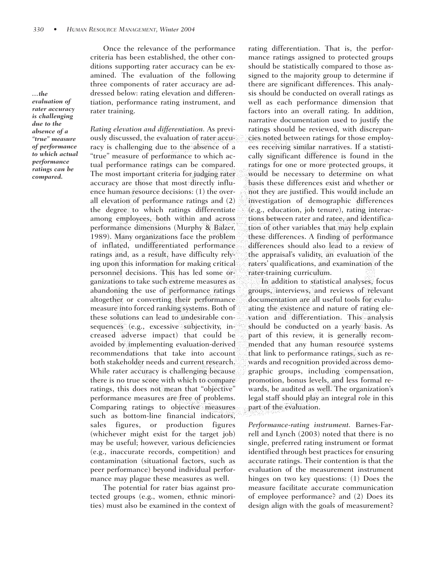Once the relevance of the performance criteria has been established, the other conditions supporting rater accuracy can be examined. The evaluation of the following three components of rater accuracy are addressed below: rating elevation and differentiation, performance rating instrument, and rater training.

*Rating elevation and differentiation.* As previously discussed, the evaluation of rater accuracy is challenging due to the absence of a "true" measure of performance to which actual performance ratings can be compared. The most important criteria for judging rater accuracy are those that most directly influence human resource decisions: (1) the overall elevation of performance ratings and  $(2)$ the degree to which ratings differentiate among employees, both within and across performance dimensions (Murphy & Balzer, 1989). Many organizations face the problem of inflated, undifferentiated performance ratings and, as a result, have difficulty relying upon this information for making critical personnel decisions. This has led some organizations to take such extreme measures as abandoning the use of performance ratings altogether or converting their performance measure into forced ranking systems. Both of these solutions can lead to undesirable consequences (e.g., excessive subjectivity, increased adverse impact) that could be avoided by implementing evaluation-derived recommendations that take into account both stakeholder needs and current research. While rater accuracy is challenging because there is no true score with which to compare ratings, this does not mean that "objective" performance measures are free of problems. Comparing ratings to objective measures such as bottom-line financial indicators, sales figures, or production figures (whichever might exist for the target job) may be useful; however, various deficiencies (e.g., inaccurate records, competition) and contamination (situational factors, such as peer performance) beyond individual performance may plague these measures as well.

The potential for rater bias against protected groups (e.g., women, ethnic minorities) must also be examined in the context of rating differentiation. That is, the performance ratings assigned to protected groups should be statistically compared to those assigned to the majority group to determine if there are significant differences. This analysis should be conducted on overall ratings as well as each performance dimension that factors into an overall rating. In addition, narrative documentation used to justify the ratings should be reviewed, with discrepancies noted between ratings for those employees receiving similar narratives. If a statistically significant difference is found in the ratings for one or more protected groups, it would be necessary to determine on what basis these differences exist and whether or not they are justified. This would include an investigation of demographic differences (e.g., education, job tenure), rating interactions between rater and ratee, and identification of other variables that may help explain these differences. A finding of performance differences should also lead to a review of the appraisal's validity, an evaluation of the raters' qualifications, and examination of the rater-training curriculum.

In addition to statistical analyses, focus groups, interviews, and reviews of relevant documentation are all useful tools for evaluating the existence and nature of rating elevation and differentiation. This analysis should be conducted on a yearly basis. As part of this review, it is generally recommended that any human resource systems that link to performance ratings, such as rewards and recognition provided across demographic groups, including compensation, promotion, bonus levels, and less formal rewards, be audited as well. The organization's legal staff should play an integral role in this part of the evaluation.

*Performance-rating instrument.* Barnes-Farrell and Lynch (2003) noted that there is no single, preferred rating instrument or format identified through best practices for ensuring accurate ratings. Their contention is that the evaluation of the measurement instrument hinges on two key questions: (1) Does the measure facilitate accurate communication of employee performance? and (2) Does its design align with the goals of measurement?

*…the evaluation of rater accuracy is challenging due to the absence of a "true" measure of performance to which actual performance ratings can be compared.*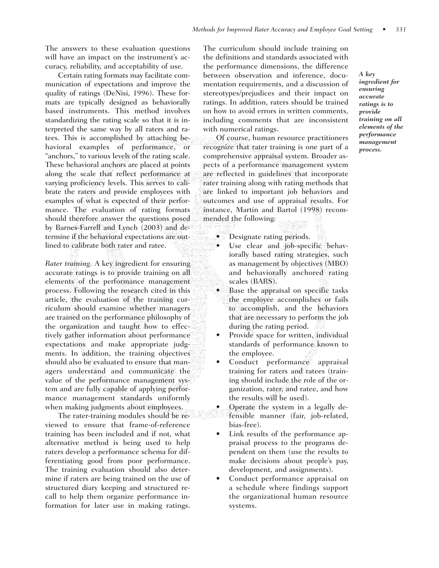The answers to these evaluation questions will have an impact on the instrument's accuracy, reliability, and acceptability of use.

Certain rating formats may facilitate communication of expectations and improve the quality of ratings (DeNisi, 1996). These formats are typically designed as behaviorally based instruments. This method involves standardizing the rating scale so that it is interpreted the same way by all raters and ratees. This is accomplished by attaching behavioral examples of performance, or "anchors," to various levels of the rating scale. These behavioral anchors are placed at points along the scale that reflect performance at varying proficiency levels. This serves to calibrate the raters and provide employees with examples of what is expected of their performance. The evaluation of rating formats should therefore answer the questions posed by Barnes-Farrell and Lynch (2003) and determine if the behavioral expectations are outlined to calibrate both rater and ratee.

*Rater training.* A key ingredient for ensuring accurate ratings is to provide training on all elements of the performance management process. Following the research cited in this article, the evaluation of the training curriculum should examine whether managers are trained on the performance philosophy of the organization and taught how to effectively gather information about performance expectations and make appropriate judgments. In addition, the training objectives should also be evaluated to ensure that managers understand and communicate the value of the performance management system and are fully capable of applying performance management standards uniformly when making judgments about employees.

The rater-training modules should be reviewed to ensure that frame-of-reference training has been included and if not, what alternative method is being used to help raters develop a performance schema for differentiating good from poor performance. The training evaluation should also determine if raters are being trained on the use of structured diary keeping and structured recall to help them organize performance information for later use in making ratings.

The curriculum should include training on the definitions and standards associated with the performance dimensions, the difference between observation and inference, documentation requirements, and a discussion of stereotypes/prejudices and their impact on ratings. In addition, raters should be trained on how to avoid errors in written comments, including comments that are inconsistent with numerical ratings.

Of course, human resource practitioners recognize that rater training is one part of a comprehensive appraisal system. Broader aspects of a performance management system are reflected in guidelines that incorporate rater training along with rating methods that are linked to important job behaviors and outcomes and use of appraisal results. For instance, Martin and Bartol (1998) recommended the following:

- Designate rating periods.
- Use clear and job-specific behaviorally based rating strategies, such as management by objectives (MBO) and behaviorally anchored rating scales (BARS).
- Base the appraisal on specific tasks the employee accomplishes or fails to accomplish, and the behaviors that are necessary to perform the job during the rating period.
- Provide space for written, individual standards of performance known to the employee.
- Conduct performance appraisal training for raters and ratees (training should include the role of the organization, rater, and ratee, and how the results will be used).
- Operate the system in a legally defensible manner (fair, job-related, bias-free).
- Link results of the performance appraisal process to the programs dependent on them (use the results to make decisions about people's pay, development, and assignments).
- Conduct performance appraisal on a schedule where findings support the organizational human resource systems.

*A key ingredient for ensuring accurate ratings is to provide training on all elements of the performance management process.*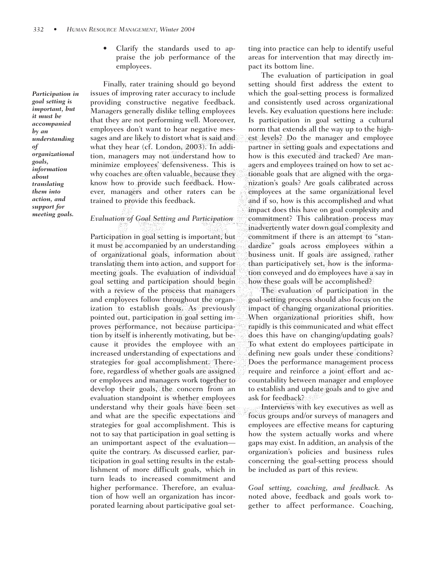• Clarify the standards used to appraise the job performance of the employees.

*Participation in goal setting is important, but it must be accompanied by an understanding of organizational goals, information about translating them into action, and support for meeting goals.* 

Finally, rater training should go beyond issues of improving rater accuracy to include providing constructive negative feedback. Managers generally dislike telling employees that they are not performing well. Moreover, employees don't want to hear negative messages and are likely to distort what is said and what they hear (cf. London, 2003). In addition, managers may not understand how to minimize employees' defensiveness. This is why coaches are often valuable, because they know how to provide such feedback. However, managers and other raters can be trained to provide this feedback.

#### *Evaluation of Goal Setting and Participation*

Participation in goal setting is important, but it must be accompanied by an understanding of organizational goals, information about translating them into action, and support for meeting goals. The evaluation of individual goal setting and participation should begin with a review of the process that managers and employees follow throughout the organization to establish goals. As previously pointed out, participation in goal setting improves performance, not because participation by itself is inherently motivating, but because it provides the employee with an increased understanding of expectations and strategies for goal accomplishment. Therefore, regardless of whether goals are assigned or employees and managers work together to develop their goals, the concern from an evaluation standpoint is whether employees understand why their goals have been set and what are the specific expectations and strategies for goal accomplishment. This is not to say that participation in goal setting is an unimportant aspect of the evaluation quite the contrary. As discussed earlier, participation in goal setting results in the establishment of more difficult goals, which in turn leads to increased commitment and higher performance. Therefore, an evaluation of how well an organization has incorporated learning about participative goal setting into practice can help to identify useful areas for intervention that may directly impact its bottom line.

The evaluation of participation in goal setting should first address the extent to which the goal-setting process is formalized and consistently used across organizational levels. Key evaluation questions here include: Is participation in goal setting a cultural norm that extends all the way up to the highest levels? Do the manager and employee partner in setting goals and expectations and how is this executed and tracked? Are managers and employees trained on how to set actionable goals that are aligned with the organization's goals? Are goals calibrated across employees at the same organizational level and if so, how is this accomplished and what impact does this have on goal complexity and commitment? This calibration process may inadvertently water down goal complexity and commitment if there is an attempt to "standardize" goals across employees within a business unit. If goals are assigned, rather than participatively set, how is the information conveyed and do employees have a say in how these goals will be accomplished?

The evaluation of participation in the goal-setting process should also focus on the impact of changing organizational priorities. When organizational priorities shift, how rapidly is this communicated and what effect does this have on changing/updating goals? To what extent do employees participate in defining new goals under these conditions? Does the performance management process require and reinforce a joint effort and accountability between manager and employee to establish and update goals and to give and ask for feedback?

Interviews with key executives as well as focus groups and/or surveys of managers and employees are effective means for capturing how the system actually works and where gaps may exist. In addition, an analysis of the organization's policies and business rules concerning the goal-setting process should be included as part of this review.

*Goal setting, coaching, and feedback.* As noted above, feedback and goals work together to affect performance. Coaching,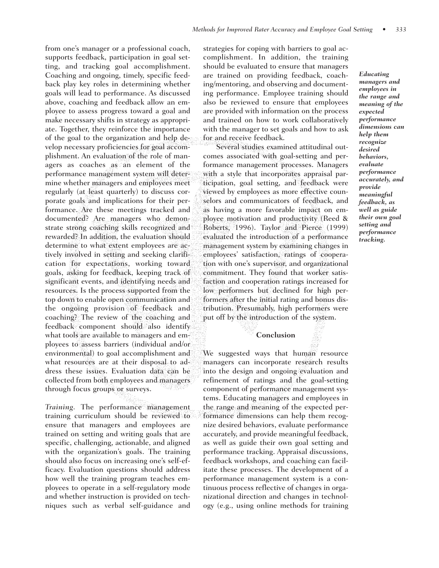from one's manager or a professional coach, supports feedback, participation in goal setting, and tracking goal accomplishment. Coaching and ongoing, timely, specific feedback play key roles in determining whether goals will lead to performance. As discussed above, coaching and feedback allow an employee to assess progress toward a goal and make necessary shifts in strategy as appropriate. Together, they reinforce the importance of the goal to the organization and help develop necessary proficiencies for goal accomplishment. An evaluation of the role of managers as coaches as an element of the performance management system will determine whether managers and employees meet regularly (at least quarterly) to discuss corporate goals and implications for their performance. Are these meetings tracked and documented? Are managers who demonstrate strong coaching skills recognized and rewarded? In addition, the evaluation should determine to what extent employees are actively involved in setting and seeking clarification for expectations, working toward goals, asking for feedback, keeping track of significant events, and identifying needs and resources. Is the process supported from the top down to enable open communication and the ongoing provision of feedback and coaching? The review of the coaching and feedback component should also identify what tools are available to managers and employees to assess barriers (individual and/or environmental) to goal accomplishment and what resources are at their disposal to address these issues. Evaluation data can be collected from both employees and managers through focus groups or surveys.

*Training.* The performance management training curriculum should be reviewed to ensure that managers and employees are trained on setting and writing goals that are specific, challenging, actionable, and aligned with the organization's goals. The training should also focus on increasing one's self-efficacy. Evaluation questions should address how well the training program teaches employees to operate in a self-regulatory mode and whether instruction is provided on techniques such as verbal self-guidance and

strategies for coping with barriers to goal accomplishment. In addition, the training should be evaluated to ensure that managers are trained on providing feedback, coaching/mentoring, and observing and documenting performance. Employee training should also be reviewed to ensure that employees are provided with information on the process and trained on how to work collaboratively with the manager to set goals and how to ask for and receive feedback.

Several studies examined attitudinal outcomes associated with goal-setting and performance management processes. Managers with a style that incorporates appraisal participation, goal setting, and feedback were viewed by employees as more effective counselors and communicators of feedback, and as having a more favorable impact on employee motivation and productivity (Reed & Roberts, 1996). Taylor and Pierce (1999) evaluated the introduction of a performance management system by examining changes in employees' satisfaction, ratings of cooperation with one's supervisor, and organizational commitment. They found that worker satisfaction and cooperation ratings increased for low performers but declined for high performers after the initial rating and bonus distribution. Presumably, high performers were put off by the introduction of the system.

#### **Conclusion**

We suggested ways that human resource managers can incorporate research results into the design and ongoing evaluation and refinement of ratings and the goal-setting component of performance management systems. Educating managers and employees in the range and meaning of the expected performance dimensions can help them recognize desired behaviors, evaluate performance accurately, and provide meaningful feedback, as well as guide their own goal setting and performance tracking. Appraisal discussions, feedback workshops, and coaching can facilitate these processes. The development of a performance management system is a continuous process reflective of changes in organizational direction and changes in technology (e.g., using online methods for training

*Educating managers and employees in the range and meaning of the expected performance dimensions can help them recognize desired behaviors, evaluate performance accurately, and provide meaningful feedback, as well as guide their own goal setting and performance tracking.*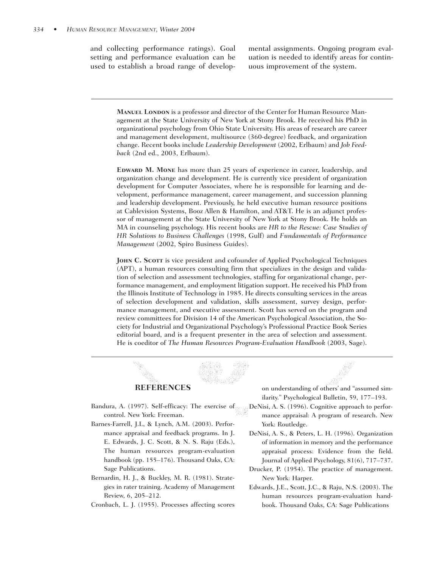and collecting performance ratings). Goal setting and performance evaluation can be used to establish a broad range of developmental assignments. Ongoing program evaluation is needed to identify areas for continuous improvement of the system.

**MANUEL LONDON** is a professor and director of the Center for Human Resource Management at the State University of New York at Stony Brook. He received his PhD in organizational psychology from Ohio State University. His areas of research are career and management development, multisource (360-degree) feedback, and organization change. Recent books include *Leadership Development* (2002, Erlbaum) and *Job Feedback* (2nd ed., 2003, Erlbaum).

**EDWARD M. MONE** has more than 25 years of experience in career, leadership, and organization change and development. He is currently vice president of organization development for Computer Associates, where he is responsible for learning and development, performance management, career management, and succession planning and leadership development. Previously, he held executive human resource positions at Cablevision Systems, Booz Allen & Hamilton, and AT&T. He is an adjunct professor of management at the State University of New York at Stony Brook. He holds an MA in counseling psychology. His recent books are *HR to the Rescue: Case Studies of HR Solutions to Business Challenges* (1998, Gulf) and *Fundamentals of Performance Management* (2002, Spiro Business Guides).

**JOHN C. SCOTT** is vice president and cofounder of Applied Psychological Techniques (APT), a human resources consulting firm that specializes in the design and validation of selection and assessment technologies, staffing for organizational change, performance management, and employment litigation support. He received his PhD from the Illinois Institute of Technology in 1985. He directs consulting services in the areas of selection development and validation, skills assessment, survey design, performance management, and executive assessment. Scott has served on the program and review committees for Division 14 of the American Psychological Association, the Society for Industrial and Organizational Psychology's Professional Practice Book Series editorial board, and is a frequent presenter in the area of selection and assessment. He is coeditor of *The Human Resources Program-Evaluation Handbook* (2003, Sage).

## **REFERENCES**

- Bandura, A. (1997). Self-efficacy: The exercise of control. New York: Freeman.
- Barnes-Farrell, J.L, & Lynch, A.M. (2003). Performance appraisal and feedback programs. In J. E. Edwards, J. C. Scott, & N. S. Raju (Eds.), The human resources program-evaluation handbook (pp. 155–176). Thousand Oaks, CA: Sage Publications.
- Bernardin, H. J., & Buckley, M. R. (1981). Strategies in rater training. Academy of Management Review, 6, 205–212.
- Cronbach, L. J. (1955). Processes affecting scores

on understanding of others' and "assumed similarity." Psychological Bulletin, 59, 177–193.

- DeNisi, A. S. (1996). Cognitive approach to performance appraisal: A program of research. New York: Routledge.
- DeNisi, A. S., & Peters, L. H. (1996). Organization of information in memory and the performance appraisal process: Evidence from the field. Journal of Applied Psychology, 81(6), 717–737.
- Drucker, P. (1954). The practice of management. New York: Harper.
- Edwards, J.E., Scott, J.C., & Raju, N.S. (2003). The human resources program-evaluation handbook. Thousand Oaks, CA: Sage Publications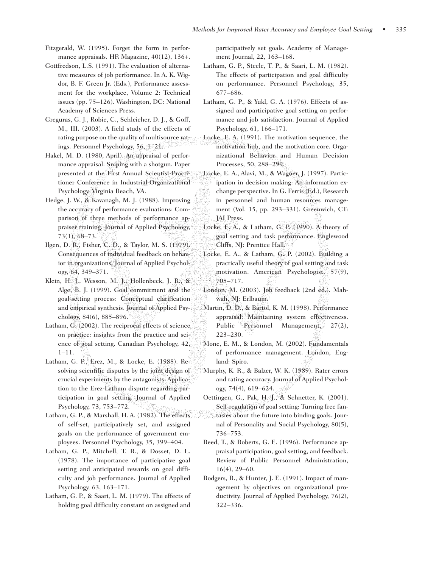- Fitzgerald, W. (1995). Forget the form in performance appraisals. HR Magazine, 40(12), 136+.
- Gottfredson, L.S. (1991). The evaluation of alternative measures of job performance. In A. K. Wigdor, B. F. Green Jr. (Eds.), Performance assessment for the workplace, Volume 2: Technical issues (pp. 75–126). Washington, DC: National Academy of Sciences Press.
- Greguras, G. J., Robie, C., Schleicher, D. J., & Goff, M., III. (2003). A field study of the effects of rating purpose on the quality of multisource ratings. Personnel Psychology, 56, 1–21.
- Hakel, M. D. (1980, April). An appraisal of performance appraisal: Sniping with a shotgun. Paper presented at the First Annual Scientist-Practitioner Conference in Industrial-Organizational Psychology, Virginia Beach, VA.
- Hedge, J. W., & Kavanagh, M. J. (1988). Improving the accuracy of performance evaluations: Comparison of three methods of performance appraiser training. Journal of Applied Psychology, 73(1), 68–73.
- Ilgen, D. R., Fisher, C. D., & Taylor, M. S. (1979). Consequences of individual feedback on behavior in organizations. Journal of Applied Psychology, 64, 349–371.
- Klein, H. J., Wesson, M. J., Hollenbeck, J. R., & Alge, B. J. (1999). Goal commitment and the goal-setting process: Conceptual clarification and empirical synthesis. Journal of Applied Psychology, 84(6), 885–896.
- Latham, G. (2002). The reciprocal effects of science on practice: insights from the practice and science of goal setting. Canadian Psychology, 42, 1–11.
- Latham, G. P., Erez, M., & Locke, E. (1988). Resolving scientific disputes by the joint design of crucial experiments by the antagonists: Application to the Erez-Latham dispute regarding participation in goal setting. Journal of Applied Psychology, 73, 753–772.
- Latham, G. P., & Marshall, H. A. (1982). The effects of self-set, participatively set, and assigned goals on the performance of government employees. Personnel Psychology, 35, 399–404.
- Latham, G. P., Mitchell, T. R., & Dosset, D. L. (1978). The importance of participative goal setting and anticipated rewards on goal difficulty and job performance. Journal of Applied Psychology, 63, 163–171.
- Latham, G. P., & Saari, L. M. (1979). The effects of holding goal difficulty constant on assigned and

participatively set goals. Academy of Management Journal, 22, 163–168.

- Latham, G. P., Steele, T. P., & Saari, L. M. (1982). The effects of participation and goal difficulty on performance. Personnel Psychology, 35, 677–686.
- Latham, G. P., & Yukl, G. A. (1976). Effects of assigned and participative goal setting on performance and job satisfaction. Journal of Applied Psychology, 61, 166–171.
- Locke, E. A. (1991). The motivation sequence, the motivation hub, and the motivation core. Organizational Behavior and Human Decision Processes, 50, 288–299.
- Locke, E. A., Alavi, M., & Wagner, J. (1997). Participation in decision making: An information exchange perspective. In G. Ferris (Ed.), Research in personnel and human resources management (Vol. 15, pp. 293-331). Greenwich, CT: JAI Press.
- Locke, E. A., & Latham, G. P. (1990). A theory of goal setting and task performance. Englewood Cliffs, NJ: Prentice Hall.
- Locke, E. A., & Latham, G. P. (2002). Building a practically useful theory of goal setting and task motivation. American Psychologist, 57(9), 705–717.
- London, M. (2003). Job feedback (2nd ed.). Mahwah, NJ: Erlbaum.
- Martin, D. D., & Bartol, K. M. (1998). Performance appraisal: Maintaining system effectiveness. Public Personnel Management, 27(2), 223–230.
- Mone, E. M., & London, M. (2002). Fundamentals of performance management. London, England: Spiro.
- Murphy, K. R., & Balzer, W. K. (1989). Rater errors and rating accuracy. Journal of Applied Psychology, 74(4), 619–624.
- Oettingen, G., Pak, H.J., & Schnetter, K. (2001). Self-regulation of goal setting: Turning free fan-
- tasies about the future into binding goals. Journal of Personality and Social Psychology, 80(5), 736–753.
- Reed, T., & Roberts, G. E. (1996). Performance appraisal participation, goal setting, and feedback. Review of Public Personnel Administration, 16(4), 29–60.
- Rodgers, R., & Hunter, J. E. (1991). Impact of management by objectives on organizational productivity. Journal of Applied Psychology, 76(2), 322–336.